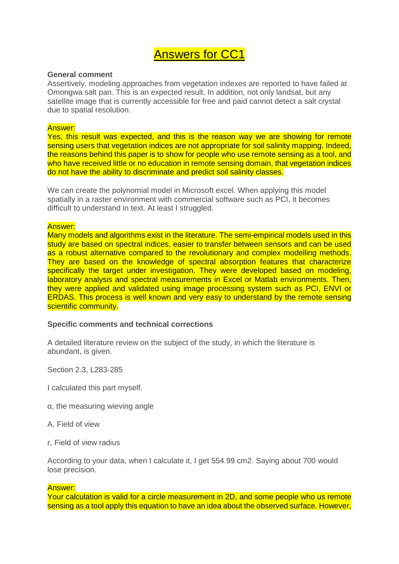# Answers for CC1

#### **General comment**

Assertively, modeling approaches from vegetation indexes are reported to have failed at Omongwa salt pan. This is an expected result. In addition, not only landsat, but any satellite image that is currently accessible for free and paid cannot detect a salt crystal due to spatial resolution.

## Answer:

Yes, this result was expected, and this is the reason way we are showing for remote sensing users that vegetation indices are not appropriate for soil salinity mapping. Indeed, the reasons behind this paper is to show for people who use remote sensing as a tool, and who have received little or no education in remote sensing domain, that vegetation indices do not have the ability to discriminate and predict soil salinity classes.

We can create the polynomial model in Microsoft excel. When applying this model spatially in a raster environment with commercial software such as PCI, it becomes difficult to understand in text. At least I struggled.

## Answer:

Many models and algorithms exist in the literature. The semi-empirical models used in this study are based on spectral indices, easier to transfer between sensors and can be used as a robust alternative compared to the revolutionary and complex modelling methods. They are based on the knowledge of spectral absorption features that characterize specifically the target under investigation. They were developed based on modeling, laboratory analysis and spectral measurements in Excel or Matlab environments. Then, they were applied and validated using image processing system such as PCI, ENVI or ERDAS. This process is well known and very easy to understand by the remote sensing scientific community.

# **Specific comments and technical corrections**

A detailed literature review on the subject of the study, in which the literature is abundant, is given.

Section 2.3, L283-285

I calculated this part myself.

- α, the measuring wieving angle
- A, Field of view
- r, Field of view radius

According to your data, when I calculate it, I get 554.99 cm2. Saying about 700 would lose precision.

#### Answer:

Your calculation is valid for a circle measurement in 2D, and some people who us remote sensing as a tool apply this equation to have an idea about the observed surface. However,